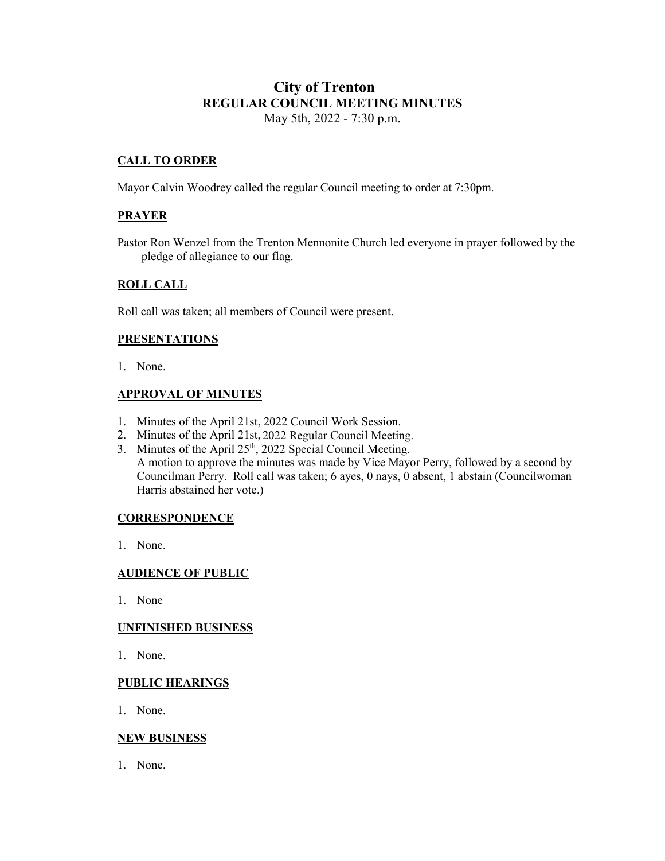# **City of Trenton REGULAR COUNCIL MEETING MINUTES** May 5th, 2022 - 7:30 p.m.

# **CALL TO ORDER**

Mayor Calvin Woodrey called the regular Council meeting to order at 7:30pm.

# **PRAYER**

Pastor Ron Wenzel from the Trenton Mennonite Church led everyone in prayer followed by the pledge of allegiance to our flag.

# **ROLL CALL**

Roll call was taken; all members of Council were present.

# **PRESENTATIONS**

1. None.

# **APPROVAL OF MINUTES**

- 1. Minutes of the April 21st, 2022 Council Work Session.
- 2. Minutes of the April 21st, 2022 Regular Council Meeting.
- 3. Minutes of the April 25<sup>th</sup>, 2022 Special Council Meeting. A motion to approve the minutes was made by Vice Mayor Perry, followed by a second by Councilman Perry. Roll call was taken; 6 ayes, 0 nays, 0 absent, 1 abstain (Councilwoman Harris abstained her vote.)

# **CORRESPONDENCE**

1. None.

# **AUDIENCE OF PUBLIC**

1. None

#### **UNFINISHED BUSINESS**

1. None.

# **PUBLIC HEARINGS**

1. None.

# **NEW BUSINESS**

1. None.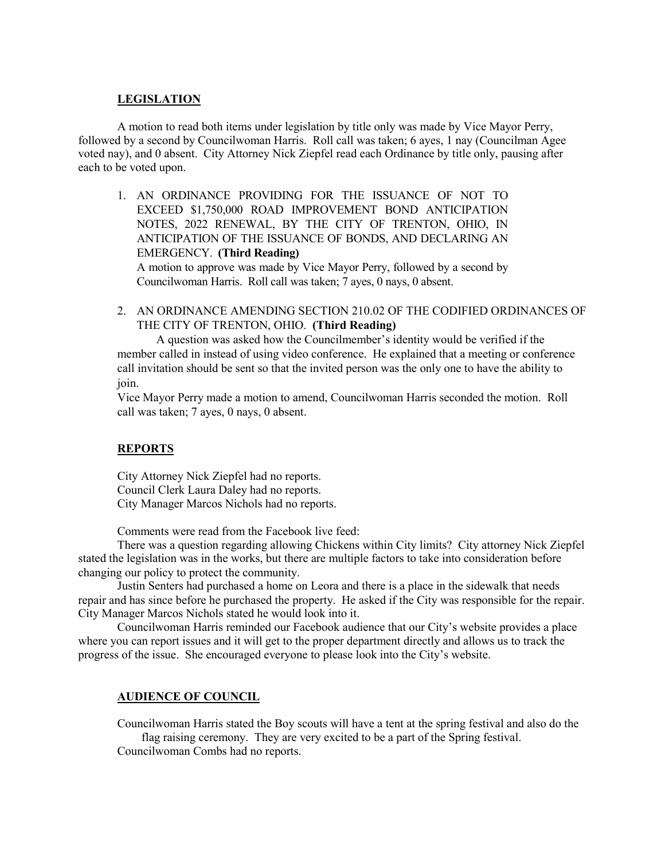# **LEGISLATION**

A motion to read both items under legislation by title only was made by Vice Mayor Perry, followed by a second by Councilwoman Harris. Roll call was taken; 6 ayes, 1 nay (Councilman Agee voted nay), and 0 absent. City Attorney Nick Ziepfel read each Ordinance by title only, pausing after each to be voted upon.

- 1. AN ORDINANCE PROVIDING FOR THE ISSUANCE OF NOT TO EXCEED \$1,750,000 ROAD IMPROVEMENT BOND ANTICIPATION NOTES, 2022 RENEWAL, BY THE CITY OF TRENTON, OHIO, IN ANTICIPATION OF THE ISSUANCE OF BONDS, AND DECLARING AN EMERGENCY. **(Third Reading)** A motion to approve was made by Vice Mayor Perry, followed by a second by Councilwoman Harris. Roll call was taken; 7 ayes, 0 nays, 0 absent.
- 2. AN ORDINANCE AMENDING SECTION 210.02 OF THE CODIFIED ORDINANCES OF THE CITY OF TRENTON, OHIO. **(Third Reading)**

A question was asked how the Councilmember's identity would be verified if the member called in instead of using video conference. He explained that a meeting or conference call invitation should be sent so that the invited person was the only one to have the ability to join.

Vice Mayor Perry made a motion to amend, Councilwoman Harris seconded the motion. Roll call was taken; 7 ayes, 0 nays, 0 absent.

# **REPORTS**

City Attorney Nick Ziepfel had no reports. Council Clerk Laura Daley had no reports. City Manager Marcos Nichols had no reports.

Comments were read from the Facebook live feed:

There was a question regarding allowing Chickens within City limits? City attorney Nick Ziepfel stated the legislation was in the works, but there are multiple factors to take into consideration before changing our policy to protect the community.

Justin Senters had purchased a home on Leora and there is a place in the sidewalk that needs repair and has since before he purchased the property. He asked if the City was responsible for the repair. City Manager Marcos Nichols stated he would look into it.

Councilwoman Harris reminded our Facebook audience that our City's website provides a place where you can report issues and it will get to the proper department directly and allows us to track the progress of the issue. She encouraged everyone to please look into the City's website.

# **AUDIENCE OF COUNCIL**

Councilwoman Harris stated the Boy scouts will have a tent at the spring festival and also do the flag raising ceremony. They are very excited to be a part of the Spring festival.

Councilwoman Combs had no reports.